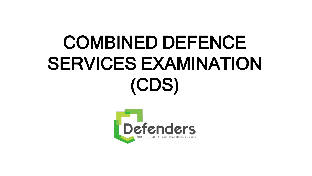# COMBINED DEFENCE SERVICES EXAMINATION (CDS)

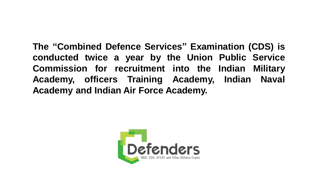**The "Combined Defence Services" Examination (CDS) is conducted twice a year by the Union Public Service Commission for recruitment into the Indian Military Academy, officers Training Academy, Indian Naval Academy and Indian Air Force Academy.**

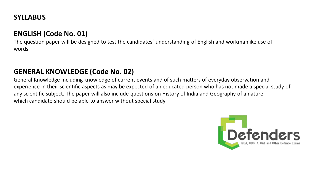# **SYLLABUS**

# **ENGLISH (Code No. 01)**

The question paper will be designed to test the candidates' understanding of English and workmanlike use of words.

# **GENERAL KNOWLEDGE (Code No. 02)**

General Knowledge including knowledge of current events and of such matters of everyday observation and experience in their scientific aspects as may be expected of an educated person who has not made a special study of any scientific subject. The paper will also include questions on History of India and Geography of a nature which candidate should be able to answer without special study

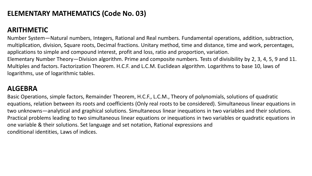## **ELEMENTARY MATHEMATICS (Code No. 03)**

# **ARITHMETIC**

Number System—Natural numbers, Integers, Rational and Real numbers. Fundamental operations, addition, subtraction, multiplication, division, Square roots, Decimal fractions. Unitary method, time and distance, time and work, percentages, applications to simple and compound interest, profit and loss, ratio and proportion, variation. Elementary Number Theory—Division algorithm. Prime and composite numbers. Tests of divisibility by 2, 3, 4, 5, 9 and 11. Multiples and factors. Factorization Theorem. H.C.F. and L.C.M. Euclidean algorithm. Logarithms to base 10, laws of logarithms, use of logarithmic tables.

#### **ALGEBRA**

Basic Operations, simple factors, Remainder Theorem, H.C.F., L.C.M., Theory of polynomials, solutions of quadratic equations, relation between its roots and coefficients (Only real roots to be considered). Simultaneous linear equations in two unknowns—analytical and graphical solutions. Simultaneous linear inequations in two variables and their solutions. Practical problems leading to two simultaneous linear equations or inequations in two variables or quadratic equations in one variable & their solutions. Set language and set notation, Rational expressions and conditional identities, Laws of indices.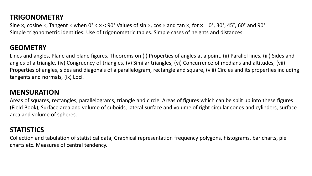# **TRIGONOMETRY**

Sine  $\times$ , cosine  $\times$ , Tangent  $\times$  when 0°  $\times$   $\times$  < 90° Values of sin  $\times$ , cos  $\times$  and tan  $\times$ , for  $\times$  = 0°, 30°, 45°, 60° and 90° Simple trigonometric identities. Use of trigonometric tables. Simple cases of heights and distances.

# **GEOMETRY**

Lines and angles, Plane and plane figures, Theorems on (i) Properties of angles at a point, (ii) Parallel lines, (iii) Sides and angles of a triangle, (iv) Congruency of triangles, (v) Similar triangles, (vi) Concurrence of medians and altitudes, (vii) Properties of angles, sides and diagonals of a parallelogram, rectangle and square, (viii) Circles and its properties including tangents and normals, (ix) Loci.

## **MENSURATION**

Areas of squares, rectangles, parallelograms, triangle and circle. Areas of figures which can be split up into these figures (Field Book), Surface area and volume of cuboids, lateral surface and volume of right circular cones and cylinders, surface area and volume of spheres.

#### **STATISTICS**

Collection and tabulation of statistical data, Graphical representation frequency polygons, histograms, bar charts, pie charts etc. Measures of central tendency.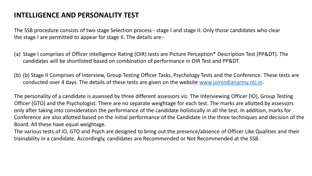# **INTELLIGENCE AND PERSONALITY TEST**

The SSB procedure consists of two stage Selection process - stage I and stage II. Only those candidates who clear the stage I are permitted to appear for stage II. The details are:-

- (a) Stage I comprises of Officer Intelligence Rating (OIR) tests are Picture Perception\* Description Test (PP&DT). The candidates will be shortlisted based on combination of performance in OIR Test and PP&DT.
- (b) (b) Stage II Comprises of Interview, Group Testing Officer Tasks, Psychology Tests and the Conference. These tests are conducted over 4 days. The details of these tests are given on the website [www.joinindianarmy.nic.in.](http://www.joinindianarmy.nic.in/)

The personality of a candidate is assessed by three different assessors viz. The Interviewing Officer (IO), Group Testing Officer (GTO) and the Psychologist. There are no separate weightage for each test. The marks are allotted by assessors only after taking into consideration the performance of the candidate holistically in all the test. In addition, marks for Conference are also allotted based on the initial performance of the Candidate in the three techniques and decision of the Board. All these have equal weightage.

The various tests of IO, GTO and Psych are designed to bring out the presence/absence of Officer Like Qualities and their trainability in a candidate. Accordingly, candidates are Recommended or Not Recommended at the SSB.